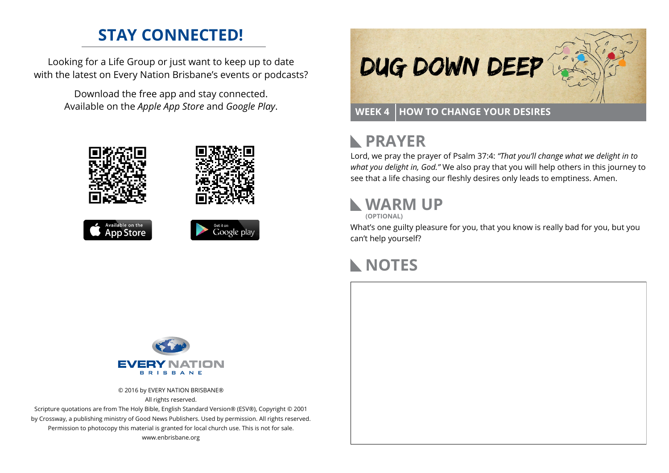### **STAY CONNECTED!**

Looking for a Life Group or just want to keep up to date with the latest on Every Nation Brisbane's events or podcasts?

> Download the free app and stay connected. Available on the *Apple App Store* and *Google Play*.











## **PRAYER**

Lord, we pray the prayer of Psalm 37:4: *"That you'll change what we delight in to what you delight in, God."* We also pray that you will help others in this journey to see that a life chasing our fleshly desires only leads to emptiness. Amen.

# **WARM UP**

**(OPTIONAL)**

What's one guilty pleasure for you, that you know is really bad for you, but you can't help yourself?

### **NOTES**



© 2016 by EVERY NATION BRISBANE® All rights reserved.

Scripture quotations are from The Holy Bible, English Standard Version® (ESV®), Copyright © 2001 by Crossway, a publishing ministry of Good News Publishers. Used by permission. All rights reserved. Permission to photocopy this material is granted for local church use. This is not for sale. www.enbrisbane.org